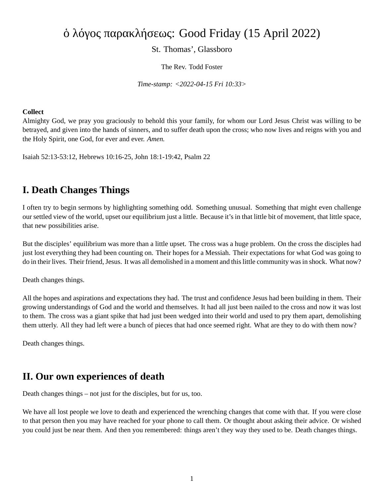# ὁ λόγος παρακλήσεως: Good Friday (15 April 2022)

St. Thomas', Glassboro

The Rev. Todd Foster

*Time-stamp: <2022-04-15 Fri 10:33>*

#### **Collect**

Almighty God, we pray you graciously to behold this your family, for whom our Lord Jesus Christ was willing to be betrayed, and given into the hands of sinners, and to suffer death upon the cross; who now lives and reigns with you and the Holy Spirit, one God, for ever and ever. *Amen.*

Isaiah 52:13-53:12, Hebrews 10:16-25, John 18:1-19:42, Psalm 22

### **I. Death Changes Things**

I often try to begin sermons by highlighting something odd. Something unusual. Something that might even challenge our settled view of the world, upset our equilibrium just a little. Because it's in that little bit of movement, that little space, that new possibilities arise.

But the disciples' equilibrium was more than a little upset. The cross was a huge problem. On the cross the disciples had just lost everything they had been counting on. Their hopes for a Messiah. Their expectations for what God was going to do in their lives. Their friend, Jesus. It was all demolished in a moment and this little community was in shock. What now?

Death changes things.

All the hopes and aspirations and expectations they had. The trust and confidence Jesus had been building in them. Their growing understandings of God and the world and themselves. It had all just been nailed to the cross and now it was lost to them. The cross was a giant spike that had just been wedged into their world and used to pry them apart, demolishing them utterly. All they had left were a bunch of pieces that had once seemed right. What are they to do with them now?

Death changes things.

### **II. Our own experiences of death**

Death changes things – not just for the disciples, but for us, too.

We have all lost people we love to death and experienced the wrenching changes that come with that. If you were close to that person then you may have reached for your phone to call them. Or thought about asking their advice. Or wished you could just be near them. And then you remembered: things aren't they way they used to be. Death changes things.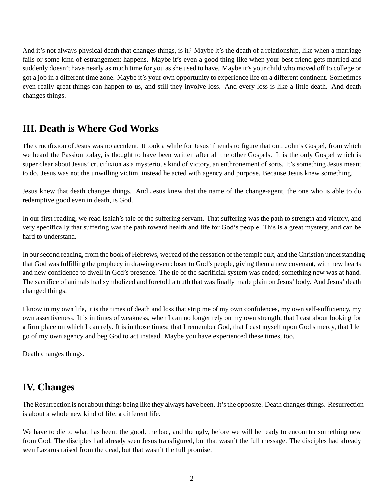And it's not always physical death that changes things, is it? Maybe it's the death of a relationship, like when a marriage fails or some kind of estrangement happens. Maybe it's even a good thing like when your best friend gets married and suddenly doesn't have nearly as much time for you as she used to have. Maybe it's your child who moved off to college or got a job in a different time zone. Maybe it's your own opportunity to experience life on a different continent. Sometimes even really great things can happen to us, and still they involve loss. And every loss is like a little death. And death changes things.

## **III. Death is Where God Works**

The crucifixion of Jesus was no accident. It took a while for Jesus' friends to figure that out. John's Gospel, from which we heard the Passion today, is thought to have been written after all the other Gospels. It is the only Gospel which is super clear about Jesus' crucifixion as a mysterious kind of victory, an enthronement of sorts. It's something Jesus meant to do. Jesus was not the unwilling victim, instead he acted with agency and purpose. Because Jesus knew something.

Jesus knew that death changes things. And Jesus knew that the name of the change-agent, the one who is able to do redemptive good even in death, is God.

In our first reading, we read Isaiah's tale of the suffering servant. That suffering was the path to strength and victory, and very specifically that suffering was the path toward health and life for God's people. This is a great mystery, and can be hard to understand.

In our second reading, from the book of Hebrews, we read of the cessation of the temple cult, and the Christian understanding that God was fulfilling the prophecy in drawing even closer to God's people, giving them a new covenant, with new hearts and new confidence to dwell in God's presence. The tie of the sacrificial system was ended; something new was at hand. The sacrifice of animals had symbolized and foretold a truth that was finally made plain on Jesus' body. And Jesus' death changed things.

I know in my own life, it is the times of death and loss that strip me of my own confidences, my own self-sufficiency, my own assertiveness. It is in times of weakness, when I can no longer rely on my own strength, that I cast about looking for a firm place on which I can rely. It is in those times: that I remember God, that I cast myself upon God's mercy, that I let go of my own agency and beg God to act instead. Maybe you have experienced these times, too.

Death changes things.

### **IV. Changes**

The Resurrection is not about things being like they always have been. It's the opposite. Death changes things. Resurrection is about a whole new kind of life, a different life.

We have to die to what has been: the good, the bad, and the ugly, before we will be ready to encounter something new from God. The disciples had already seen Jesus transfigured, but that wasn't the full message. The disciples had already seen Lazarus raised from the dead, but that wasn't the full promise.